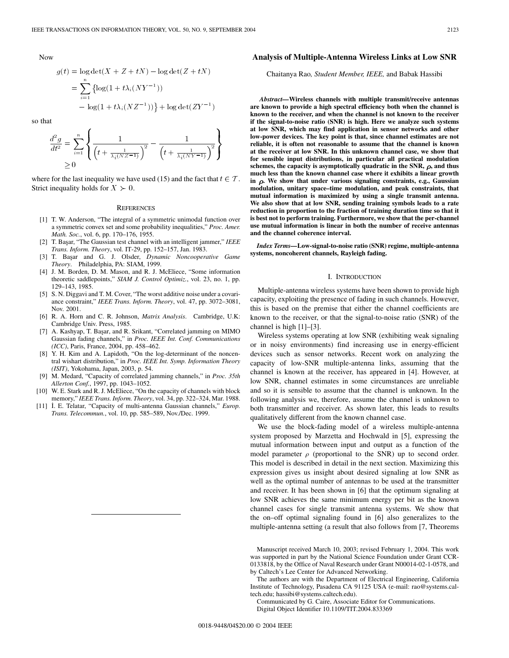Now

$$
g(t) = \log \det(X + Z + tN) - \log \det(Z + tN)
$$
  
= 
$$
\sum_{i=1}^{n} {\log(1 + t\lambda_i (NY^{-1}))}
$$
  
- 
$$
\log(1 + t\lambda_i (NZ^{-1})) + \log \det(ZY^{-1})
$$

so that

$$
\frac{d^2 g}{dt^2} = \sum_{i=1}^n \left\{ \frac{1}{\left(t + \frac{1}{\lambda_i (N Z - 1)}\right)^2} - \frac{1}{\left(t + \frac{1}{\lambda_i (N Y - 1)}\right)^2} \right\}
$$
  
  $\ge 0$ 

where for the last inequality we have used (15) and the fact that  $t \in \mathcal{T}$ . Strict inequality holds for  $X \succ 0$ .

#### **REFERENCES**

- [1] T. W. Anderson, "The integral of a symmetric unimodal function over a symmetric convex set and some probability inequalities," *Proc. Amer. Math. Soc.*, vol. 6, pp. 170–176, 1955.
- [2] T. Başar, "The Gaussian test channel with an intelligent jammer," IEEE *Trans. Inform. Theory*, vol. IT-29, pp. 152–157, Jan. 1983.
- [3] T. Bas¸ar and G. J. Olsder, *Dynamic Noncooperative Game Theory*. Philadelphia, PA: SIAM, 1999.
- [4] J. M. Borden, D. M. Mason, and R. J. McEliece, "Some information theoretic saddlepoints," *SIAM J. Control Optimiz.*, vol. 23, no. 1, pp. 129–143, 1985.
- [5] S. N. Diggavi and T. M. Cover, "The worst additive noise under a covariance constraint," *IEEE Trans. Inform. Theory*, vol. 47, pp. 3072–3081, Nov. 2001.
- [6] R. A. Horn and C. R. Johnson, *Matrix Analysis*. Cambridge, U.K: Cambridge Univ. Press, 1985.
- [7] A. Kashyap, T. Basar, and R. Srikant, "Correlated jamming on MIMO Gaussian fading channels," in *Proc. IEEE Int. Conf. Communications (ICC)*, Paris, France, 2004, pp. 458–462.
- [8] Y. H. Kim and A. Lapidoth, "On the log-determinant of the noncentral wishart distribution," in *Proc. IEEE Int. Symp. Information Theory (ISIT)*, Yokohama, Japan, 2003, p. 54.
- [9] M. Medard, "Capacity of correlated jamming channels," in *Proc. 35th Allerton Conf.*, 1997, pp. 1043–1052.
- [10] W. E. Stark and R. J. McEliece, "On the capacity of channels with block memory," *IEEE Trans. Inform. Theory*, vol. 34, pp. 322–324, Mar. 1988.
- [11] ˙I. E. Telatar, "Capacity of multi-antenna Gaussian channels," *Europ. Trans. Telecommun.*, vol. 10, pp. 585–589, Nov./Dec. 1999.

## **Analysis of Multiple-Antenna Wireless Links at Low SNR**

Chaitanya Rao*, Student Member, IEEE,* and Babak Hassibi

*Abstract—***Wireless channels with multiple transmit/receive antennas are known to provide a high spectral efficiency both when the channel is** known to the receiver, and when the channel is not known to the receiver **if the signal-to-noise ratio (SNR) is high. Here we analyze such systems at low SNR,which may find application in sensor networks and other** low-power devices. The key point is that, since channel estimates are not **reliable,it is often not reasonable to assume that the channel is known** at the receiver at low SNR. In this unknown channel case, we show that for sensible input distributions, in particular all practical modulation schemes, the capacity is asymptotically quadratic in the SNR,  $\rho$ , and thus **much less than the known channel case where it exhibits a linear growth** in  $\rho$ . We show that under various signaling constraints, e.g., Gaussian modulation, unitary space-time modulation, and peak constraints, that **mutual information is maximized by using a single transmit antenna.** We also show that at low SNR, sending training symbols leads to a rate **reduction in proportion to the fraction of training duration time so that it is best not to perform training. Furthermore,we show that the per-channel use mutual information is linear in both the number of receive antennas and the channel coherence interval.**

*Index Terms*—Low-signal-to-noise ratio (SNR) regime, multiple-antenna systems, noncoherent channels, Rayleigh fading.

# I. INTRODUCTION

Multiple-antenna wireless systems have been shown to provide high capacity, exploiting the presence of fading in such channels. However, this is based on the premise that either the channel coefficients are known to the receiver, or that the signal-to-noise ratio (SNR) of the channel is high [1]–[3].

Wireless systems operating at low SNR (exhibiting weak signaling or in noisy environments) find increasing use in energy-efficient devices such as sensor networks. Recent work on analyzing the capacity of low-SNR multiple-antenna links, assuming that the channel is known at the receiver, has appeared in [4]. However, at low SNR, channel estimates in some circumstances are unreliable and so it is sensible to assume that the channel is unknown. In the following analysis we, therefore, assume the channel is unknown to both transmitter and receiver. As shown later, this leads to results qualitatively different from the known channel case.

We use the block-fading model of a wireless multiple-antenna system proposed by Marzetta and Hochwald in [5], expressing the mutual information between input and output as a function of the model parameter  $\rho$  (proportional to the SNR) up to second order. This model is described in detail in the next section. Maximizing this expression gives us insight about desired signaling at low SNR as well as the optimal number of antennas to be used at the transmitter and receiver. It has been shown in [6] that the optimum signaling at low SNR achieves the same minimum energy per bit as the known channel cases for single transmit antenna systems. We show that the on–off optimal signaling found in [6] also generalizes to the multiple-antenna setting (a result that also follows from [7, Theorems

Manuscript received March 10, 2003; revised February 1, 2004. This work was supported in part by the National Science Foundation under Grant CCR-0133818, by the Office of Naval Research under Grant N00014-02-1-0578, and by Caltech's Lee Center for Advanced Networking.

The authors are with the Department of Electrical Engineering, California Institute of Technology, Pasadena CA 91125 USA (e-mail: rao@systems.caltech.edu; hassibi@systems.caltech.edu).

Communicated by G. Caire, Associate Editor for Communications. Digital Object Identifier 10.1109/TIT.2004.833369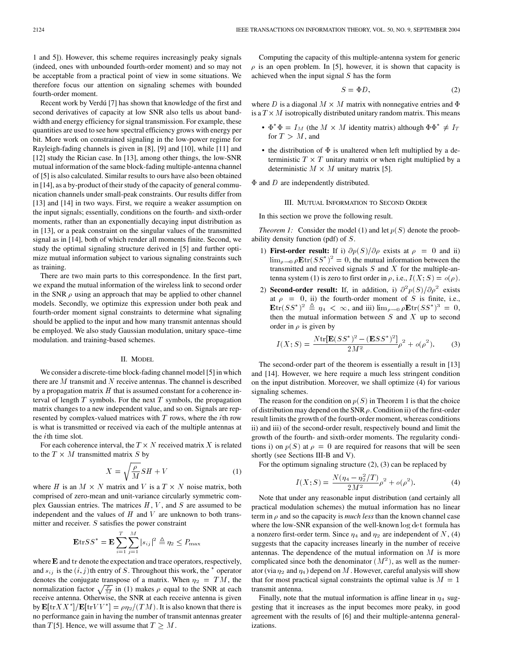1 and 5]). However, this scheme requires increasingly peaky signals (indeed, ones with unbounded fourth-order moment) and so may not be acceptable from a practical point of view in some situations. We therefore focus our attention on signaling schemes with bounded fourth-order moment.

Recent work by Verdú [7] has shown that knowledge of the first and second derivatives of capacity at low SNR also tells us about bandwidth and energy efficiency for signal transmission. For example, these quantities are used to see how spectral efficiency grows with energy per bit. More work on constrained signaling in the low-power regime for Rayleigh-fading channels is given in [8], [9] and [10], while [11] and [12] study the Rician case. In [13], among other things, the low-SNR mutual information of the same block-fading multiple-antenna channel of [5] is also calculated. Similar results to ours have also been obtained in [14], as a by-product of their study of the capacity of general communication channels under small-peak constraints. Our results differ from [13] and [14] in two ways. First, we require a weaker assumption on the input signals; essentially, conditions on the fourth- and sixth-order moments, rather than an exponentially decaying input distribution as in [13], or a peak constraint on the singular values of the transmitted signal as in [14], both of which render all moments finite. Second, we study the optimal signaling structure derived in [5] and further optimize mutual information subject to various signaling constraints such as training.

There are two main parts to this correspondence. In the first part, we expand the mutual information of the wireless link to second order in the SNR  $\rho$  using an approach that may be applied to other channel models. Secondly, we optimize this expression under both peak and fourth-order moment signal constraints to determine what signaling should be applied to the input and how many transmit antennas should be employed. We also study Gaussian modulation, unitary space–time modulation. and training-based schemes.

# II. MODEL

We consider a discrete-time block-fading channel model [5] in which there are  $M$  transmit and  $N$  receive antennas. The channel is described by a propagation matrix  $H$  that is assumed constant for a coherence interval of length  $T$  symbols. For the next  $T$  symbols, the propagation matrix changes to a new independent value, and so on. Signals are represented by complex-valued matrices with  $T$  rows, where the *i*th row is what is transmitted or received via each of the multiple antennas at the ith time slot.

For each coherence interval, the  $T \times N$  received matrix X is related to the  $T \times M$  transmitted matrix S by

$$
X = \sqrt{\frac{\rho}{M}} S H + V \tag{1}
$$

where H is an  $M \times N$  matrix and V is a  $T \times N$  noise matrix, both comprised of zero-mean and unit-variance circularly symmetric complex Gaussian entries. The matrices  $H, V$ , and  $S$  are assumed to be independent and the values of  $H$  and  $V$  are unknown to both transmitter and receiver. S satisfies the power constraint

$$
\mathbf{E}\mathrm{tr}SS^* = \mathbf{E}\sum_{i=1}^T\sum_{j=1}^M |s_{ij}|^2 \triangleq \eta_2 \leq P_{\text{max}}
$$

where **E** and tr denote the expectation and trace operators, respectively, and  $s_{ij}$  is the  $(i, j)$ th entry of S. Throughout this work, the  $*$  operator denotes the conjugate transpose of a matrix. When  $\eta_2 = TM$ , the normalization factor  $\sqrt{\frac{\rho}{M}}$  in (1) makes  $\rho$  equal to the SNR at each receive antenna. Otherwise, the SNR at each receive antenna is given by  $\mathbf{E}[\text{tr}XX^*]/\mathbf{E}[\text{tr}VV^*] = \rho \eta_2/(TM)$ . It is also known that there is no performance gain in having the number of transmit antennas greater than  $T[5]$ . Hence, we will assume that  $T \geq M$ .

Computing the capacity of this multiple-antenna system for generic  $\rho$  is an open problem. In [5], however, it is shown that capacity is achieved when the input signal  $S$  has the form

$$
S = \Phi D,\tag{2}
$$

where D is a diagonal  $M \times M$  matrix with nonnegative entries and  $\Phi$ is a  $T \times M$  isotropically distributed unitary random matrix. This means

- $\Phi^* \Phi = I_M$  (the  $M \times M$  identity matrix) although  $\Phi \Phi^* \neq I_T$ for  $T > M$ , and
- the distribution of  $\Phi$  is unaltered when left multiplied by a deterministic  $T \times T$  unitary matrix or when right multiplied by a deterministic  $M \times M$  unitary matrix [5].

 $\Phi$  and  $D$  are independently distributed.

### III. MUTUAL INFORMATION TO SECOND ORDER

In this section we prove the following result.

*Theorem 1:* Consider the model (1) and let  $p(S)$  denote the proobability density function (pdf) of S.

- 1) **First-order result:** If i)  $\partial p(S)/\partial \rho$  exists at  $\rho = 0$  and ii)  $\lim_{\rho \to 0} \rho \mathbf{E}$ tr $(SS^*)^2 = 0$ , the mutual information between the transmitted and received signals  $S$  and  $X$  for the multiple-antenna system (1) is zero to first order in  $\rho$ , i.e.,  $I(X; S) = o(\rho)$ .
- 2) **Second-order result:** If, in addition, i)  $\partial^2 p(S)/\partial \rho^2$  exists at  $\rho = 0$ , ii) the fourth-order moment of S is finite, i.e.,  $\mathbf{E} \text{tr}(SS^*)^2 \triangleq \eta_4 < \infty$ , and iii)  $\lim_{\rho \to 0} \rho \mathbf{E} \text{tr}(SS^*)^3 = 0$ , then the mutual information between  $S$  and  $X$  up to second order in  $\rho$  is given by

$$
I(X;S) = \frac{N \text{tr}[\mathbf{E}(SS^*)^2 - (\mathbf{E}SS^*)^2]}{2M^2} \rho^2 + o(\rho^2). \tag{3}
$$

The second-order part of the theorem is essentially a result in [13] and [14]. However, we here require a much less stringent condition on the input distribution. Moreover, we shall optimize (4) for various signaling schemes.

The reason for the condition on  $p(S)$  in Theorem 1 is that the choice of distribution may depend on the SNR  $\rho$ . Condition ii) of the first-order result limits the growth of the fourth-order moment, whereas conditions ii) and iii) of the second-order result, respectively bound and limit the growth of the fourth- and sixth-order moments. The regularity conditions i) on  $p(S)$  at  $\rho = 0$  are required for reasons that will be seen shortly (see Sections III-B and V).

For the optimum signaling structure (2), (3) can be replaced by

$$
I(X; S) = \frac{N(\eta_4 - \eta_2^2/T)}{2M^2} \rho^2 + o(\rho^2).
$$
 (4)

Note that under any reasonable input distribution (and certainly all practical modulation schemes) the mutual information has no linear term in  $\rho$  and so the capacity is *much less* than the known channel case where the low-SNR expansion of the well-known log det formula has a nonzero first-order term. Since  $\eta_4$  and  $\eta_2$  are independent of N, (4) suggests that the capacity increases linearly in the number of receive antennas. The dependence of the mutual information on M is more complicated since both the denominator  $(M^2)$ , as well as the numerator (via  $\eta_2$  and  $\eta_4$ ) depend on M. However, careful analysis will show that for most practical signal constraints the optimal value is  $M = 1$ transmit antenna.

Finally, note that the mutual information is affine linear in  $\eta_4$  suggesting that it increases as the input becomes more peaky, in good agreement with the results of [6] and their multiple-antenna generalizations.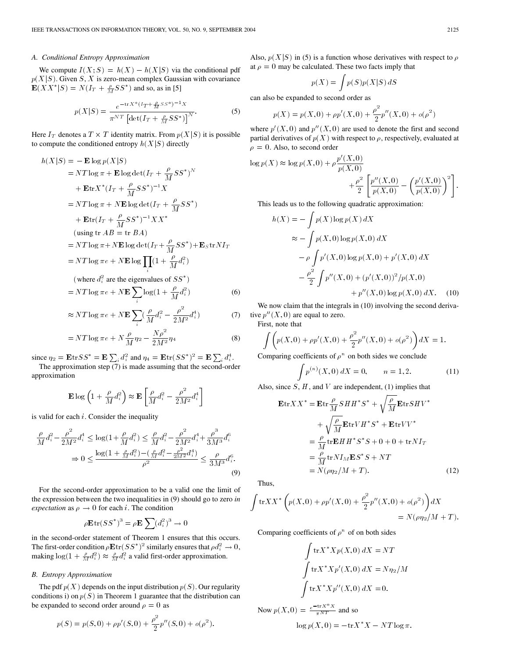# *A. Conditional Entropy Approximation*

We compute  $I(X; S) = h(X) - h(X|S)$  via the conditional pdf  $p(X|S)$ . Given S, X is zero-mean complex Gaussian with covariance  $\mathbf{E}(XX^*|S) = N(I_T + \frac{\rho}{M}SS^*)$  and so, as in [5]

$$
p(X|S) = \frac{e^{-\text{tr}X \cdot x} (I_T + \frac{\rho}{M} S S^*)^{-1} X}{\pi^{NT} \left[ \det(I_T + \frac{\rho}{M} S S^*) \right]^N}.
$$
 (5)

Here  $I_T$  denotes a  $T \times T$  identity matrix. From  $p(X|S)$  it is possible to compute the conditioned entropy  $h(X|S)$  directly

$$
h(X|S) = -\mathbf{E} \log p(X|S)
$$
  
= NT log  $\pi$  +  $\mathbf{E} \log \det (I_T + \frac{\rho}{M} SS^*)^N$   
+  $\mathbf{E} \text{tr} X^* (I_T + \frac{\rho}{M} SS^*)^{-1} X$   
= NT log  $\pi$  + N $\mathbf{E} \log \det (I_T + \frac{\rho}{M} SS^*)$   
+  $\mathbf{E} \text{tr} (I_T + \frac{\rho}{M} SS^*)^{-1} XX^*$   
(using tr  $AB = \text{tr } BA$ )  
= NT log  $\pi$  + N $\mathbf{E} \log \det (I_T + \frac{\rho}{M} SS^*)$  +  $\mathbf{E}_S \text{tr} NI_T$   
= NT log  $\pi$  e + N $\mathbf{E} \log \prod_i (1 + \frac{\rho}{M} d_i^2)$   
(where  $d_i^2$  are the eigenvalues of  $SS^*$ )

$$
= NT \log \pi e + N \mathbf{E} \sum_{i} \log(1 + \frac{\rho}{M} d_i^2)
$$
 (6)

$$
\approx NT \log \pi e + N \mathbf{E} \sum_{i} \left( \frac{\rho}{M} d_i^2 - \frac{\rho^2}{2M^2} d_i^4 \right) \tag{7}
$$

$$
= NT \log \pi e + N \frac{\rho}{M} \eta_2 - \frac{N \rho^2}{2M^2} \eta_4
$$
 (8)

since  $\eta_2 = \mathbf{E} \text{tr} S S^* = \mathbf{E} \sum_i d_i^2$  and  $\eta_4 = \mathbf{E} \text{tr} (S S^*)^2 = \mathbf{E} \sum_i d_i^4$ .

The approximation step (7) is made assuming that the second-order approximation

$$
\mathbf{E} \log \left( 1 + \frac{\rho}{M} d_i^2 \right) \approx \mathbf{E} \left[ \frac{\rho}{M} d_i^2 - \frac{\rho^2}{2M^2} d_i^4 \right]
$$

is valid for each  $i$ . Consider the inequality

$$
\frac{\rho}{M}d_i^2 - \frac{\rho^2}{2M^2}d_i^4 \le \log(1 + \frac{\rho}{M}d_i^2) \le \frac{\rho}{M}d_i^2 - \frac{\rho^2}{2M^2}d_i^4 + \frac{\rho^3}{3M^3}d_i^6
$$
  
\n
$$
\Rightarrow 0 \le \frac{\log(1 + \frac{\rho}{M}d_i^2) - (\frac{\rho}{M}d_i^2 - \frac{\rho^2}{2M^2}d_i^4)}{\rho^2} \le \frac{\rho}{3M^3}d_i^6.
$$
\n(9)

For the second-order approximation to be a valid one the limit of the expression between the two inequalities in (9) should go to zero *in expectation* as  $\rho \to 0$  for each *i*. The condition

$$
\rho\mathbf{E}\mathrm{tr}(SS^{*})^{3}=\rho\mathbf{E}\sum(d_{i}^{2})^{3}\rightarrow0
$$

in the second-order statement of Theorem 1 ensures that this occurs. The first-order condition  $\rho \mathbf{E}$ tr $(SS^*)^2$  similarly ensures that  $\rho d_i^2 \to 0$ , making  $\log(1 + \frac{\rho}{M} d_i^2) \approx \frac{\rho}{M} d_i^2$  a valid first-order approximation.

# *B. Entropy Approximation*

The pdf  $p(X)$  depends on the input distribution  $p(S)$ . Our regularity conditions i) on  $p(S)$  in Theorem 1 guarantee that the distribution can be expanded to second order around  $\rho = 0$  as

$$
p(S) = p(S, 0) + \rho p'(S, 0) + \frac{\rho^2}{2} p''(S, 0) + o(\rho^2).
$$

Also,  $p(X|S)$  in (5) is a function whose derivatives with respect to  $\rho$ at  $\rho = 0$  may be calculated. These two facts imply that

$$
p(X) = \int p(S)p(X|S) \, dS
$$

can also be expanded to second order as

$$
p(X)=p(X,0)+\rho p'(X,0)+\frac{\rho^2}{2}p''(X,0)+o(\rho^2)
$$

where  $p'(X, 0)$  and  $p''(X, 0)$  are used to denote the first and second partial derivatives of  $p(X)$  with respect to  $\rho$ , respectively, evaluated at  $\rho = 0$ . Also, to second order

$$
\log p(X) \approx \log p(X, 0) + \rho \frac{p'(X, 0)}{p(X, 0)} + \frac{\rho^2}{2} \left[ \frac{p''(X, 0)}{p(X, 0)} - \left( \frac{p'(X, 0)}{p(X, 0)} \right)^2 \right].
$$

This leads us to the following quadratic approximation:

$$
h(X) = -\int p(X) \log p(X) \, dX
$$
  
\n
$$
\approx -\int p(X,0) \log p(X,0) \, dX
$$
  
\n
$$
- \rho \int p'(X,0) \log p(X,0) + p'(X,0) \, dX
$$
  
\n
$$
- \frac{\rho^2}{2} \int p''(X,0) + (p'(X,0))^2 / p(X,0)
$$
  
\n
$$
+ p''(X,0) \log p(X,0) \, dX. \quad (10)
$$

We now claim that the integrals in  $(10)$  involving the second derivative  $p''(X, 0)$  are equal to zero.

First, note that

$$
\int \left( p(X,0) + \rho p'(X,0) + \frac{\rho^2}{2} p''(X,0) + o(\rho^2) \right) dX = 1.
$$

Comparing coefficients of  $\rho^n$  on both sides we conclude

$$
\int p^{(n)}(X,0) \, dX = 0, \qquad n = 1,2. \tag{11}
$$

Also, since  $S$ ,  $H$ , and  $V$  are independent, (1) implies that

$$
\mathbf{E} \text{tr} XX^* = \mathbf{E} \text{tr} \frac{\rho}{M} SHH^*S^* + \sqrt{\frac{\rho}{M}} \mathbf{E} \text{tr} SHV^*
$$
  
+  $\sqrt{\frac{\rho}{M}} \mathbf{E} \text{tr} VH^*S^* + \mathbf{E} \text{tr} VV^*$   
=  $\frac{\rho}{M} \text{tr} \mathbf{E} HH^*S^*S + 0 + 0 + \text{tr} NI_T$   
=  $\frac{\rho}{M} \text{tr} NI_M \mathbf{E} S^*S + NT$   
=  $N(\rho \eta_2/M + T).$  (12)

Thus,

$$
\int \text{tr}XX^* \left( p(X,0) + \rho p'(X,0) + \frac{\rho^2}{2} p''(X,0) + o(\rho^2) \right) dX = N(\rho \eta_2/M + T).
$$

Comparing coefficients of  $\rho^n$  of on both sides

$$
\int tr X^* X p(X,0) dX = NT
$$

$$
\int tr X^* X p'(X,0) dX = N \eta_2/M
$$

$$
\int tr X^* X p''(X,0) dX = 0.
$$

Now  $p(X, 0) = \frac{e^{-\text{tr}(X)}X}{\pi^N}$  and so

$$
\log p(X,0) = -\mathrm{tr}X^*X - NT\log \pi.
$$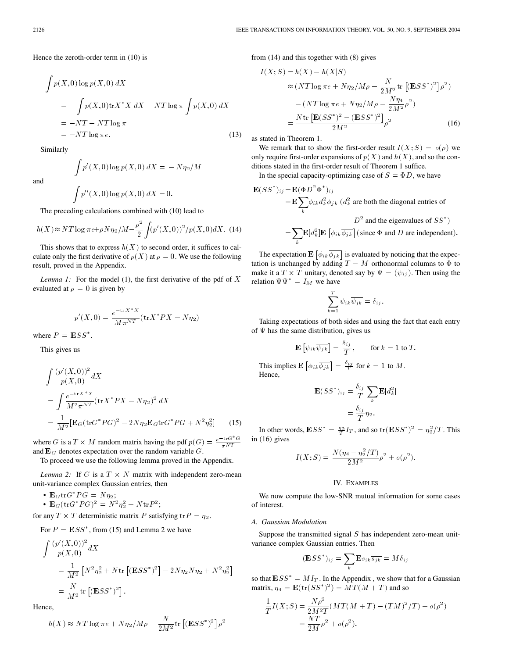Hence the zeroth-order term in (10) is

$$
\int p(X,0)\log p(X,0) dX
$$
  
= 
$$
-\int p(X,0)\text{tr}X^*X dX - NT\log \pi \int p(X,0) dX
$$
  
= 
$$
-NT - NT\log \pi
$$
  
= 
$$
-NT\log \pi e.
$$
 (13)

Similarly

and

$$
\int p'(X,0)\log p(X,0) dX = -N\eta_2/M
$$

$$
\int p''(X,0)\log p(X,0) dX = 0.
$$

The preceding calculations combined with (10) lead to

$$
h(X) \approx NT \log \pi e + \rho N \eta_2 / M - \frac{\rho^2}{2} \int (p'(X,0))^2 / p(X,0) dX.
$$
 (14)

This shows that to express  $h(X)$  to second order, it suffices to calculate only the first derivative of  $p(X)$  at  $\rho = 0$ . We use the following result, proved in the Appendix.

*Lemma 1:* For the model (1), the first derivative of the pdf of X evaluated at  $\rho = 0$  is given by

$$
p'(X,0) = \frac{e^{-\text{tr}X^*X}}{M\pi^{NT}}(\text{tr}X^*PX - N\eta_2)
$$

where  $P = ESS^*$ .

This gives us

$$
\int \frac{(p'(X,0))^2}{p(X,0)} dX
$$
  
= 
$$
\int \frac{e^{-\text{tr}X^*X}}{M^2 \pi^{NT}} (\text{tr}X^*PX - N\eta_2)^2 dX
$$
  
= 
$$
\frac{1}{M^2} [\mathbf{E}_G (\text{tr}G^*PG)^2 - 2N\eta_2 \mathbf{E}_G \text{tr}G^*PG + N^2\eta_2^2]
$$
(15)

 $-\mathrm{tr} G^*G$ where G is a  $T \times M$  random matrix having the pdf  $p(G) = \frac{e}{n}$  $\pi$ and  $\mathbf{E}_G$  denotes expectation over the random variable  $G$ .

To proceed we use the following lemma proved in the Appendix.

*Lemma 2:* If G is a  $T \times N$  matrix with independent zero-mean unit-variance complex Gaussian entries, then

- $\mathbf{E}_{G}$ tr $G^*PG = N\eta_2$ ;
- $\mathbf{E}_G(\text{tr}G^*PG)^2 = N^2\eta_2^2 + N\text{tr}P^2;$

for any  $T \times T$  deterministic matrix P satisfying  $trP = \eta_2$ .

For  $P = ESS^*$ , from (15) and Lemma 2 we have

$$
\int \frac{(p'(X,0))^2}{p(X,0)} dX
$$
  
=  $\frac{1}{M^2} [N^2 \eta_2^2 + N \text{tr} [(\mathbf{E} S S^*)^2] - 2N \eta_2 N \eta_2 + N^2 \eta_2^2]$   
=  $\frac{N}{M^2} \text{tr} [(\mathbf{E} S S^*)^2].$ 

Hence,

$$
h(X) \approx NT \log \pi e + N \eta_2 / M \rho - \frac{N}{2M^2} \text{tr} \left[ (\mathbf{E} S S^*)^2 \right] \rho^2
$$

from (14) and this together with (8) gives

$$
I(X; S) = h(X) - h(X|S)
$$
  
\n
$$
\approx (NT \log \pi e + N \eta_2) M \rho - \frac{N}{2M^2} \text{tr} \left[ (\mathbf{E} S S^*)^2 \right] \rho^2)
$$
  
\n
$$
- (NT \log \pi e + N \eta_2) M \rho - \frac{N \eta_4}{2M^2} \rho^2)
$$
  
\n
$$
= \frac{N \text{tr} \left[ \mathbf{E} (S S^*)^2 - (\mathbf{E} S S^*)^2 \right]}{2M^2} \rho^2
$$
(16)

as stated in Theorem 1.

We remark that to show the first-order result  $I(X; S) = o(\rho)$  we only require first-order expansions of  $p(X)$  and  $h(X)$ , and so the conditions stated in the first-order result of Theorem 1 suffice.

In the special capacity-optimizing case of  $S = \Phi D$ , we have

$$
\mathbf{E}(SS^*)_{ij} = \mathbf{E}(\Phi D^2 \Phi^*)_{ij}
$$
  
=  $\mathbf{E} \sum_k \phi_{ik} d_k^2 \overline{\phi_{jk}}$  ( $d_k^2$  are both the diagonal entries of  

$$
D^2
$$
 and the eigenvalues of  $SS^*$ )  
=  $\sum_k \mathbf{E}[d_k^2] \mathbf{E} [\phi_{ik} \overline{\phi_{jk}}]$  (since  $\Phi$  and  $D$  are independent).

The expectation  $\mathbf{E}\left[\phi_{ik}\overline{\phi_{jk}}\right]$  is evaluated by noticing that the expectation is unchanged by adding  $T - M$  orthonormal columns to  $\Phi$  to make it a  $T \times T$  unitary, denoted say by  $\Psi = (\psi_{ij})$ . Then using the relation  $\Psi \Psi^* = I_M$  we have

$$
\sum_{k=1}^T \psi_{ik} \overline{\psi_{jk}} = \delta_{ij}.
$$

Taking expectations of both sides and using the fact that each entry of  $\Psi$  has the same distribution, gives us

$$
\mathbf{E}\left[\psi_{ik}\overline{\psi_{jk}}\right] = \frac{\delta_{ij}}{T}, \qquad \text{for } k = 1 \text{ to } T.
$$

This implies  $\mathbf{E}\left[\phi_{ik}\overline{\phi_{jk}}\right] = \frac{\delta_{ij}}{T}$  for  $k = 1$  to  $M$ . Hence,

$$
\mathbf{E}(SS^*)_{ij} = \frac{\delta_{ij}}{T} \sum_k \mathbf{E}[d_k^2]
$$

$$
= \frac{\delta_{ij}}{T} \eta_2.
$$

In other words,  $\mathbf{E}SS^* = \frac{\eta_2}{T}I_T$ , and so  $\text{tr}(\mathbf{E}SS^*)^2 = \eta_2^2/T$ . This in (16) gives

$$
I(X;S) = \frac{N(\eta_4 - \eta_2^2/T)}{2M^2} \rho^2 + o(\rho^2).
$$

## IV. EXAMPLES

We now compute the low-SNR mutual information for some cases of interest.

## *A. Gaussian Modulation*

Suppose the transmitted signal  $S$  has independent zero-mean unitvariance complex Gaussian entries. Then

$$
(\mathbf{E} S S^*)_{ij} = \sum_{k} \mathbf{E} s_{ik} \overline{s_{jk}} = M \delta_{ij}
$$

so that  $\mathbf{E} S S^* = MI_T$ . In the Appendix, we show that for a Gaussian matrix,  $\eta_4 = \mathbf{E}(\text{tr}(SS^*)^2) = MT(M+T)$  and so

$$
\frac{1}{T}I(X;S) = \frac{N\rho^2}{2M^2T}(MT(M+T) - (TM)^2/T) + o(\rho^2)
$$
  
=  $\frac{NT}{2M}\rho^2 + o(\rho^2)$ .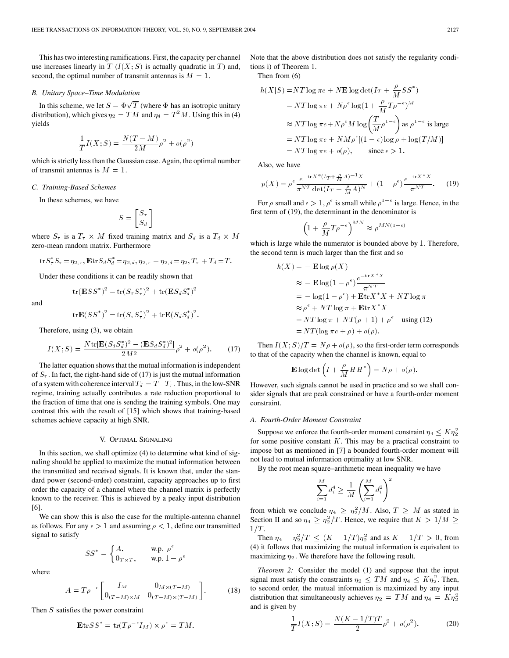This has two interesting ramifications. First, the capacity per channel use increases linearly in  $T$  ( $I(X; S)$ ) is actually quadratic in  $T$ ) and, second, the optimal number of transmit antennas is  $M = 1$ .

#### *B. Unitary Space–Time Modulation*

In this scheme, we let  $S = \Phi \sqrt{T}$  (where  $\Phi$  has an isotropic unitary distribution), which gives  $\eta_2 = TM$  and  $\eta_4 = T^2 M$ . Using this in (4) yields

$$
\frac{1}{T}I(X;S) = \frac{N(T-M)}{2M} \rho^{2} + o(\rho^{2})
$$

which is strictly less than the Gaussian case. Again, the optimal number of transmit antennas is  $M = 1$ .

#### *C. Training-Based Schemes*

In these schemes, we have

$$
S = \begin{bmatrix} S_{\tau} \\ S_d \end{bmatrix}
$$

where  $S_{\tau}$  is a  $T_{\tau} \times M$  fixed training matrix and  $S_d$  is a  $T_d \times M$ zero-mean random matrix. Furthermore

$$
\text{tr} S_{\tau}^* S_{\tau} = \eta_{2,\tau}, \mathbf{E} \text{tr} S_d S_d^* = \eta_{2,d}, \eta_{2,\tau} + \eta_{2,d} = \eta_2, T_{\tau} + T_d = T.
$$

Under these conditions it can be readily shown that

$$
\operatorname{tr}(\mathbf{E} S S^*)^2 = \operatorname{tr}(S_\tau S_\tau^*)^2 + \operatorname{tr}(\mathbf{E} S_d S_d^*)^2
$$

and

$$
\operatorname{tr} \mathbf{E}(SS^*)^2 = \operatorname{tr}(S_\tau S_\tau^*)^2 + \operatorname{tr} \mathbf{E}(S_d S_d^*)^2.
$$

Therefore, using (3), we obtain

$$
I(X;S) = \frac{N \text{tr}[\mathbf{E}(S_d S_d^*)^2 - (\mathbf{E} S_d S_d^*)^2]}{2M^2} \rho^2 + o(\rho^2). \tag{17}
$$

The latter equation shows that the mutual information is independent of  $S<sub>\tau</sub>$ . In fact, the right-hand side of (17) is just the mutual information of a system with coherence interval  $T_d = T - T_{\tau}$ . Thus, in the low-SNR regime, training actually contributes a rate reduction proportional to the fraction of time that one is sending the training symbols. One may contrast this with the result of [15] which shows that training-based schemes achieve capacity at high SNR.

#### V. OPTIMAL SIGNALING

In this section, we shall optimize (4) to determine what kind of signaling should be applied to maximize the mutual information between the transmitted and received signals. It is known that, under the standard power (second-order) constraint, capacity approaches up to first order the capacity of a channel where the channel matrix is perfectly known to the receiver. This is achieved by a peaky input distribution [6].

We can show this is also the case for the multiple-antenna channel as follows. For any  $\epsilon > 1$  and assuming  $\rho < 1$ , define our transmitted signal to satisfy

$$
SS^* = \begin{cases} A, & \text{w.p. } \rho^{\epsilon} \\ 0_{T \times T}, & \text{w.p. } 1 - \rho^{\epsilon} \end{cases}
$$

where

$$
A = T \rho^{-\epsilon} \begin{bmatrix} I_M & 0_{M \times (T - M)} \\ 0_{(T - M) \times M} & 0_{(T - M) \times (T - M)} \end{bmatrix}.
$$
 (18)

Then S satisfies the power constraint

$$
\mathbf{E} \text{tr} S S^* = \text{tr}(T \rho^{-\epsilon} I_M) \times \rho^{\epsilon} = T M.
$$

Note that the above distribution does not satisfy the regularity conditions i) of Theorem 1.

Then from (6)

$$
h(X|S) = NT \log \pi e + N \mathbf{E} \log \det(I_T + \frac{\rho}{M} SS^*)
$$
  
= NT \log \pi e + N \rho^{\epsilon} \log(1 + \frac{\rho}{M} T \rho^{-\epsilon})^M  

$$
\approx NT \log \pi e + N \rho^{\epsilon} M \log \left(\frac{T}{M} \rho^{1-\epsilon}\right) \text{ as } \rho^{1-\epsilon} \text{ is large}
$$
  
= NT \log \pi e + NM \rho^{\epsilon} [(1 - \epsilon) \log \rho + \log(T/M)]  
= NT \log \pi e + o(\rho), \qquad \text{since } \epsilon > 1.

Also, we have

$$
p(X) = \rho^{\epsilon} \frac{e^{-\text{tr}X^{*}(I_{T} + \frac{\rho}{M}A)^{-1}X}}{\pi^{NT} \det(I_{T} + \frac{\rho}{M}A)^{N}} + (1 - \rho^{\epsilon}) \frac{e^{-\text{tr}X^{*}X}}{\pi^{NT}}.
$$
 (19)

For  $\rho$  small and  $\epsilon > 1$ ,  $\rho^{\epsilon}$  is small while  $\rho^{1-\epsilon}$  is large. Hence, in the first term of (19), the determinant in the denominator is

$$
\left(1 + \frac{\rho}{M} T \rho^{-\epsilon}\right)^{MN} \approx \rho^{MN(1-\epsilon)}
$$

which is large while the numerator is bounded above by 1. Therefore, the second term is much larger than the first and so

$$
h(X) = -\mathbf{E} \log p(X)
$$
  
\n
$$
\approx -\mathbf{E} \log(1 - \rho^{\epsilon}) \frac{e^{-\text{tr}X^{*}X}}{\pi^{NT}}
$$
  
\n
$$
= -\log(1 - \rho^{\epsilon}) + \mathbf{E} \text{tr}X^{*}X + NT \log \pi
$$
  
\n
$$
\approx \rho^{\epsilon} + NT \log \pi + \mathbf{E} \text{tr}X^{*}X
$$
  
\n
$$
= NT \log \pi + NT(\rho + 1) + \rho^{\epsilon} \quad \text{using (12)}
$$
  
\n
$$
= NT(\log \pi e + \rho) + o(\rho).
$$

Then  $I(X; S)/T = N \rho + o(\rho)$ , so the first-order term corresponds to that of the capacity when the channel is known, equal to

**E** log det 
$$
\left( I + \frac{\rho}{M} H H^* \right) = N \rho + o(\rho)
$$
.

However, such signals cannot be used in practice and so we shall consider signals that are peak constrained or have a fourth-order moment constraint.

#### *A. Fourth-Order Moment Constraint*

Suppose we enforce the fourth-order moment constraint  $\eta_4 \leq K \eta_2^2$ for some positive constant  $K$ . This may be a practical constraint to impose but as mentioned in [7] a bounded fourth-order moment will not lead to mutual information optimality at low SNR.

By the root mean square–arithmetic mean inequality we have

$$
\sum_{i=1}^{M} d_i^4 \ge \frac{1}{M} \left( \sum_{i=1}^{M} d_i^2 \right)^2
$$

from which we conclude  $\eta_4 \geq \eta_2^2/M$ . Also,  $T \geq M$  as stated in Section II and so  $\eta_4 \geq \eta_2^2/T$ . Hence, we require that  $K > 1/M \geq$  $1/T$ .

Then  $\eta_4 - \eta_2^2/T \le (K - 1/T)\eta_2^2$  and as  $K - 1/T > 0$ , from (4) it follows that maximizing the mutual information is equivalent to maximizing  $\eta_2$ . We therefore have the following result.

*Theorem 2:* Consider the model (1) and suppose that the input signal must satisfy the constraints  $\eta_2 \leq TM$  and  $\eta_4 \leq K\eta_2^2$ . Then, to second order, the mutual information is maximized by any input distribution that simultaneously achieves  $\eta_2 = TM$  and  $\eta_4 = K \eta_2^2$ and is given by

$$
\frac{1}{T}I(X;S) = \frac{N(K - 1/T)T}{2}\rho^2 + o(\rho^2).
$$
 (20)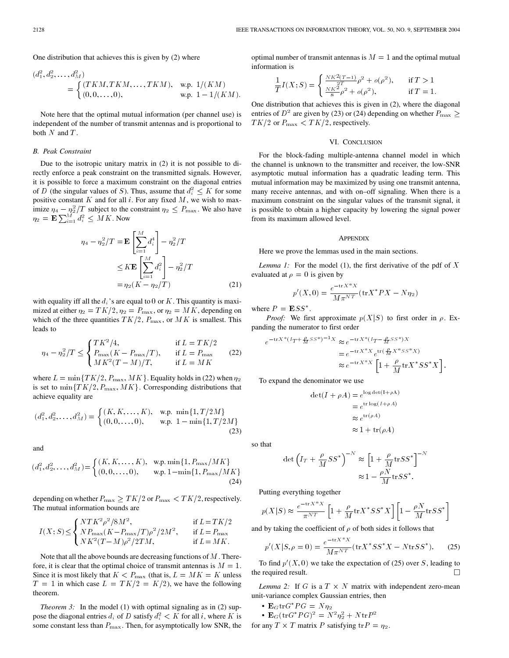One distribution that achieves this is given by (2) where

$$
(d_1^2, d_2^2, \dots, d_M^2) = \begin{cases} (TKM, TKM, \dots, TKM), & \text{w.p. } 1/(KM) \\ (0, 0, \dots, 0), & \text{w.p. } 1 - 1/(KM). \end{cases}
$$

Note here that the optimal mutual information (per channel use) is independent of the number of transmit antennas and is proportional to both  $N$  and  $T$ .

# *B. Peak Constraint*

Due to the isotropic unitary matrix in (2) it is not possible to directly enforce a peak constraint on the transmitted signals. However, it is possible to force a maximum constraint on the diagonal entries of D (the singular values of S). Thus, assume that  $d_i^2 \leq K$  for some positive constant  $K$  and for all  $i$ . For any fixed  $M$ , we wish to maximize  $\eta_4 - \eta_2^2/T$  subject to the constraint  $\eta_2 \le P_{\text{max}}$ . We also have  $\eta_2 = \mathbf{E} \sum_{i=1}^{M} d_i^2 \leq MK$ . Now

$$
\eta_4 - \eta_2^2 / T = \mathbf{E} \left[ \sum_{i=1}^M d_i^4 \right] - \eta_2^2 / T
$$
  
\n
$$
\leq K \mathbf{E} \left[ \sum_{i=1}^M d_i^2 \right] - \eta_2^2 / T
$$
  
\n
$$
= \eta_2 (K - \eta_2 / T) \tag{21}
$$

with equality iff all the  $d_i$ 's are equal to 0 or K. This quantity is maximized at either  $\eta_2 = T K/2$ ,  $\eta_2 = P_{\text{max}}$ , or  $\eta_2 = M K$ , depending on which of the three quantities  $TK/2$ ,  $P_{\text{max}}$ , or MK is smallest. This leads to

$$
\eta_4 - \eta_2^2/T \le \begin{cases} TK^2/4, & \text{if } L = TK/2\\ P_{\text{max}}(K - P_{\text{max}}/T), & \text{if } L = P_{\text{max}}\\ MK^2(T - M)/T, & \text{if } L = MK \end{cases}
$$
(22)

where  $L = \min\{TK/2, P_{\max}, MK\}$ . Equality holds in (22) when  $\eta_2$ is set to  $\min\{TK/2, P_{\max},MK\}$ . Corresponding distributions that achieve equality are

$$
(d_1^2, d_2^2, \dots, d_M^2) = \begin{cases} (K, K, \dots, K), & \text{w.p. } \min\{1, T/2M\} \\ (0, 0, \dots, 0), & \text{w.p. } 1 - \min\{1, T/2M\} \end{cases} \tag{23}
$$

and

$$
(d_1^2, d_2^2, \dots, d_M^2) = \begin{cases} (K, K, \dots, K), & \text{w.p. min}\{1, P_{\text{max}}/MK\} \\ (0, 0, \dots, 0), & \text{w.p. } 1 - \min\{1, P_{\text{max}}/MK\} \end{cases} \tag{24}
$$

depending on whether  $P_{\rm max}\geq T K/2$  or  $P_{\rm max}< T K/2$  , respectively. The mutual information bounds are

$$
I(X;S) \leq \begin{cases} NTK^2 \rho^2 / 8M^2, & \text{if } L = TK/2\\ N P_{\text{max}} (K-P_{\text{max}}/T) \rho^2 / 2M^2, & \text{if } L = P_{\text{max}}\\ N K^2 (T-M) \rho^2 / 2TM, & \text{if } L = MK. \end{cases}
$$

Note that all the above bounds are decreasing functions of  $M$ . Therefore, it is clear that the optimal choice of transmit antennas is  $M = 1$ . Since it is most likely that  $K < P_{\text{max}}$  (that is,  $L = MK = K$  unless  $T = 1$  in which case  $L = T K/2 = K/2$ , we have the following theorem.

*Theorem 3:* In the model (1) with optimal signaling as in (2) suppose the diagonal entries  $d_i$  of D satisfy  $d_i^2 < K$  for all i, where K is some constant less than  $P_{\text{max}}$ . Then, for asymptotically low SNR, the

optimal number of transmit antennas is  $M = 1$  and the optimal mutual<br>information is<br> $\int_{-1}^{1} K^{K^2(T-1)} z^2 + e^{-2}$ <br>if  $T > 1$ information is

$$
\frac{1}{T}I(X;S) = \begin{cases} \frac{NK^2(T-1)}{2T} \rho^2 + o(\rho^2), & \text{if } T > 1\\ \frac{NK^2}{8} \rho^2 + o(\rho^2), & \text{if } T = 1. \end{cases}
$$

One distribution that achieves this is given in (2), where the diagonal entries of  $D^2$  are given by (23) or (24) depending on whether  $P_{\text{max}} \ge$  $TK/2$  or  $P_{\text{max}} < TK/2$ , respectively.

## VI. CONCLUSION

For the block-fading multiple-antenna channel model in which the channel is unknown to the transmitter and receiver, the low-SNR asymptotic mutual information has a quadratic leading term. This mutual information may be maximized by using one transmit antenna, many receive antennas, and with on–off signaling. When there is a maximum constraint on the singular values of the transmit signal, it is possible to obtain a higher capacity by lowering the signal power from its maximum allowed level.

#### APPENDIX

Here we prove the lemmas used in the main sections.

*Lemma 1:* For the model (1), the first derivative of the pdf of  $X$ evaluated at  $\rho = 0$  is given by

$$
p'(X,0) = \frac{e^{-\text{tr}X^*X}}{M\pi^{NT}}(\text{tr}X^*PX - N\eta_2)
$$

where  $P = ESS^*$ .

*Proof:* We first approximate  $p(X|S)$  to first order in  $\rho$ . Expanding the numerator to first order

$$
e^{-\text{tr} X^*(I_T + \frac{\rho}{M} SS^*)^{-1}X} \approx e^{-\text{tr} X^*(I_T - \frac{\rho}{M} SS^*)X}
$$
  
= 
$$
e^{-\text{tr} X^*X} e^{\text{tr}(\frac{\rho}{M} X^*SS^*X)}
$$
  

$$
\approx e^{-\text{tr} X^*X} \left[1 + \frac{\rho}{M} \text{tr} X^*SS^*X\right].
$$

To expand the denominator we use

$$
\det(I + \rho A) = e^{\log \det(I + \rho A)}
$$
  
=  $e^{\text{tr}\log(I + \rho A)}$   
 $\approx e^{\text{tr}(\rho A)}$   
 $\approx 1 + \text{tr}(\rho A)$ 

so that

$$
\det \left( I_T + \frac{\rho}{M} S S^* \right)^{-N} \approx \left[ 1 + \frac{\rho}{M} \text{tr} S S^* \right]^{-N}
$$

$$
\approx 1 - \frac{\rho N}{M} \text{tr} S S^*.
$$

Putting everything together

$$
p(X|S) \approx \frac{e^{-\text{tr} X^* X}}{\pi^{NT}} \left[1 + \frac{\rho}{M} \text{tr} X^* S S^* X\right] \left[1 - \frac{\rho N}{M} \text{tr} S S^*\right]
$$

and by taking the coefficient of  $\rho$  of both sides it follows that

$$
p'(X|S, \rho = 0) = \frac{e^{-\text{tr}X^*X}}{M\pi^{NT}}(\text{tr}X^*SS^*X - N\text{tr}SS^*).
$$
 (25)

To find  $p'(X, 0)$  we take the expectation of (25) over S, leading to the required result. П

*Lemma 2:* If G is a  $T \times N$  matrix with independent zero-mean unit-variance complex Gaussian entries, then

•  $\mathbf{E}_G$ tr $G^*PG = N\eta_2$ 

• 
$$
\mathbf{E}_G(\text{tr}G^*PG)^2 = N^2\eta_2^2 + N\text{tr}P^2
$$

for any  $T \times T$  matrix P satisfying  $trP = \eta_2$ .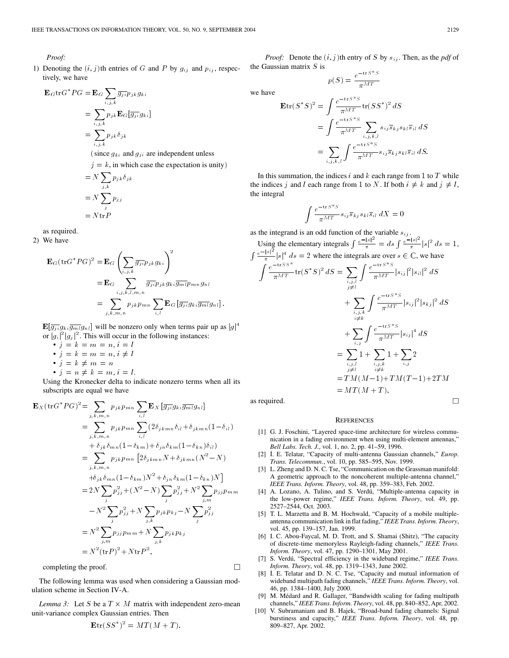*Proof:*

1) Denoting the  $(i, j)$ th entries of G and P by  $g_{ij}$  and  $p_{ij}$ , respectively, we have

$$
\mathbf{E}_{G} \text{tr} G^{*} PG = \mathbf{E}_{G} \sum_{i,j,k} \overline{g_{ji}} p_{jk} g_{ki}
$$
  
= 
$$
\sum_{i,j,k} p_{jk} \mathbf{E}_{G} [\overline{g_{ji}} g_{ki}]
$$
  
= 
$$
\sum_{i,j,k} p_{jk} \delta_{jk}
$$

(since  $g_{ki}$  and  $g_{ji}$  are independent unless

 $j = k$ , in which case the expectation is unity)

$$
= N \sum_{j,k} p_{jk} \delta_{jk}
$$

$$
= N \sum_{j} p_{jj}
$$

$$
= N \text{tr} P
$$

as required.

2) We have

$$
\mathbf{E}_G(\mathrm{tr}G^*PG)^2 = \mathbf{E}_G \left( \sum_{i,j,k} \overline{g_{ji}} p_{jk} g_{ki} \right)^2
$$
  
=  $\mathbf{E}_G \sum_{i,j,k,l,m,n} \overline{g_{ji}} p_{jk} g_{ki} \overline{g_{ml}} p_{mn} g_{nl}$   
=  $\sum_{j,k,m,n} p_{jk} p_{mn} \sum_{i,l} \mathbf{E}_G \left[ \overline{g_{ji}} g_{ki} \overline{g_{ml}} g_{nl} \right].$ 

 $\mathbf{E}[\overline{g_{ji}}g_{ki}\overline{g_{ml}}g_{nl}]$  will be nonzero only when terms pair up as  $|g|^4$ or  $|g_i|^2 |g_j|^2$ . This will occur in the following instances:

•  $j = k = m = n, i = l$ 

- $j = k = m = n, i \neq l$
- $j = k \neq m = n$

• 
$$
j = n \neq k = m, i = l
$$
.

Using the Kronecker delta to indicate nonzero terms when all its subscripts are equal we have

$$
\mathbf{E}_{X}(\text{tr}G^{*}PG)^{2} = \sum_{j,k,m,n} p_{jk}p_{mn} \sum_{i,l} \mathbf{E}_{X} \left[\overline{g_{ji}}g_{ki}\overline{g_{ml}}g_{nl}\right]
$$
  
\n
$$
= \sum_{j,k,m,n} p_{jk}p_{mn} \sum_{i,l} (2\delta_{jkmn}\delta_{il} + \delta_{jkmn}(1-\delta_{il})
$$
  
\n
$$
+ \delta_{jk}\delta_{mn}(1-\delta_{km}) + \delta_{jn}\delta_{km}(1-\delta_{kn})\delta_{il})
$$
  
\n
$$
= \sum_{j,k,m,n} p_{jk}p_{mn} \left[2\delta_{jkmn}N + \delta_{jkmn}(N^{2}-N)\right]
$$
  
\n
$$
+ \delta_{jk}\delta_{mn}(1-\delta_{km})N^{2} + \delta_{jn}\delta_{km}(1-\delta_{kn})N]
$$
  
\n
$$
= 2N \sum_{j} p_{jj}^{2} + (N^{2}-N) \sum_{j} p_{jj}^{2} + N^{2} \sum_{j,m} p_{jj}p_{mm}
$$
  
\n
$$
-N^{2} \sum_{j} p_{jj}^{2} + N \sum_{j,k} p_{jk}p_{kj} - N \sum_{j} p_{jj}^{2}
$$
  
\n
$$
= N^{2} \sum_{j,m} p_{jj}p_{mm} + N \sum_{j,k} p_{jk}p_{kj}
$$
  
\n
$$
= N^{2}(\text{tr}P)^{2} + N \text{tr}P^{2},
$$

completing the proof.

The following lemma was used when considering a Gaussian modulation scheme in Section IV-A.

*Lemma 3:* Let S be a  $T \times M$  matrix with independent zero-mean unit-variance complex Gaussian entries. Then

$$
\mathbf{E}\mathrm{tr}(SS^*)^2 = MT(M+T).
$$

*Proof:* Denote the  $(i, j)$ th entry of S by  $s_{ij}$ . Then, as the *pdf* of the Gaussian matrix  $S$  is  $p(S) = \frac{e^{-\text{tr}S^*S}}{\pi^{MT}}$ 

we have

$$
\begin{aligned} \mathbf{E} \text{tr}(S^*S)^2 &= \int \frac{e^{-\text{tr}S^*S}}{\pi^{MT}} \text{tr}(SS^*)^2 \, dS \\ &= \int \frac{e^{-\text{tr}S^*S}}{\pi^{MT}} \sum_{i,j,k,l} s_{ij} \overline{s}_{kj} s_{kl} \overline{s}_{il} \, dS \\ &= \sum_{i,j,k,l} \int \frac{e^{-\text{tr}S^*S}}{\pi^{MT}} s_{ij} \overline{s}_{kj} s_{kl} \overline{s}_{il} \, dS. \end{aligned}
$$

In this summation, the indices i and  $k$  each range from 1 to  $T$  while the indices j and l each range from 1 to N. If both  $i \neq k$  and  $j \neq l$ , the integral

$$
\int \frac{e^{-\text{tr}S^*S}}{\pi^{MT}} s_{ij} \overline{s}_{kj} s_{kl} \overline{s}_{il} dX = 0
$$

as the integrand is an odd function of the variable  $s_{ij}$ .

Using the elementary integrals 
$$
\int \frac{e^{-|s|^2}}{\pi} |s|^4 ds = 2 \text{ where the integrals are over } s \in \mathbb{C}, \text{ we have}
$$
\n
$$
\int \frac{e^{-\text{tr}S}^{-s}}{\pi^{MT}} \text{tr}(S^*S)^2 dS = \sum_{\substack{i,j,l\\j \neq l}} \int \frac{e^{-\text{tr}S^*S}}{\pi^{MT}} |s_{ij}|^2 |s_{il}|^2 dS
$$
\n
$$
+ \sum_{\substack{i,j,k\\i \neq k}} \int \frac{e^{-\text{tr}S^*S}}{\pi^{MT}} |s_{ij}|^2 |s_{kj}|^2 dS
$$
\n
$$
+ \sum_{\substack{i,j,k\\i \neq k}} \int \frac{e^{-\text{tr}S^*S}}{\pi^{MT}} |s_{ij}|^2 |s_{kj}|^2 dS
$$
\n
$$
= \sum_{\substack{i,j\\j \neq l}} 1 + \sum_{\substack{i,j,k\\i \neq k}} 1 + \sum_{i,j} 2
$$
\n
$$
= TM(M-1) + TM(T-1) + 2TM
$$
\n
$$
= MT(M+T),
$$

as required.

 $\Box$ 

#### **REFERENCES**

- [1] G. J. Foschini, "Layered space-time architecture for wireless communication in a fading environment when using multi-element antennas," *Bell Labs. Tech. J.*, vol. 1, no. 2, pp. 41–59, 1996.
- [2] ˙I. E. Telatar, "Capacity of multi-antenna Gaussian channels," *Europ. Trans. Telecommun.*, vol. 10, pp. 585–595, Nov. 1999.
- [3] L. Zheng and D. N. C. Tse, "Communication on the Grassman manifold: A geometric approach to the noncoherent multiple-antenna channel," *IEEE Trans. Inform. Theory*, vol. 48, pp. 359–383, Feb. 2002.
- [4] A. Lozano, A. Tulino, and S. Verdú, "Multiple-antenna capacity in the low-power regime," *IEEE Trans. Inform. Theory*, vol. 49, pp. 2527–2544, Oct. 2003.
- [5] T. L. Marzetta and B. M. Hochwald, "Capacity of a mobile multipleantenna communication link in flat fading," *IEEE Trans. Inform. Theory*, vol. 45, pp. 139–157, Jan. 1999.
- [6] I. C. Abou-Faycal, M. D. Trott, and S. Shamai (Shitz), "The capacity of discrete-time memoryless Rayleigh-fading channels," *IEEE Trans. Inform. Theory*, vol. 47, pp. 1290–1301, May 2001.
- [7] S. Verdú, "Spectral efficiency in the wideband regime," *IEEE Trans. Inform. Theory*, vol. 48, pp. 1319–1343, June 2002.
- [8] I. E. Telatar and D. N. C. Tse, "Capacity and mutual information of wideband multipath fading channels," *IEEE Trans. Inform. Theory*, vol. 46, pp. 1384–1400, July 2000.
- [9] M. Médard and R. Gallager, "Bandwidth scaling for fading multipath channels," *IEEE Trans. Inform. Theory*, vol. 48, pp. 840–852, Apr, 2002.
- [10] V. Subramaniam and B. Hajek, "Broad-band fading channels: Signal burstiness and capacity," *IEEE Trans. Inform. Theory*, vol. 48, pp. 809–827, Apr. 2002.

 $\Box$